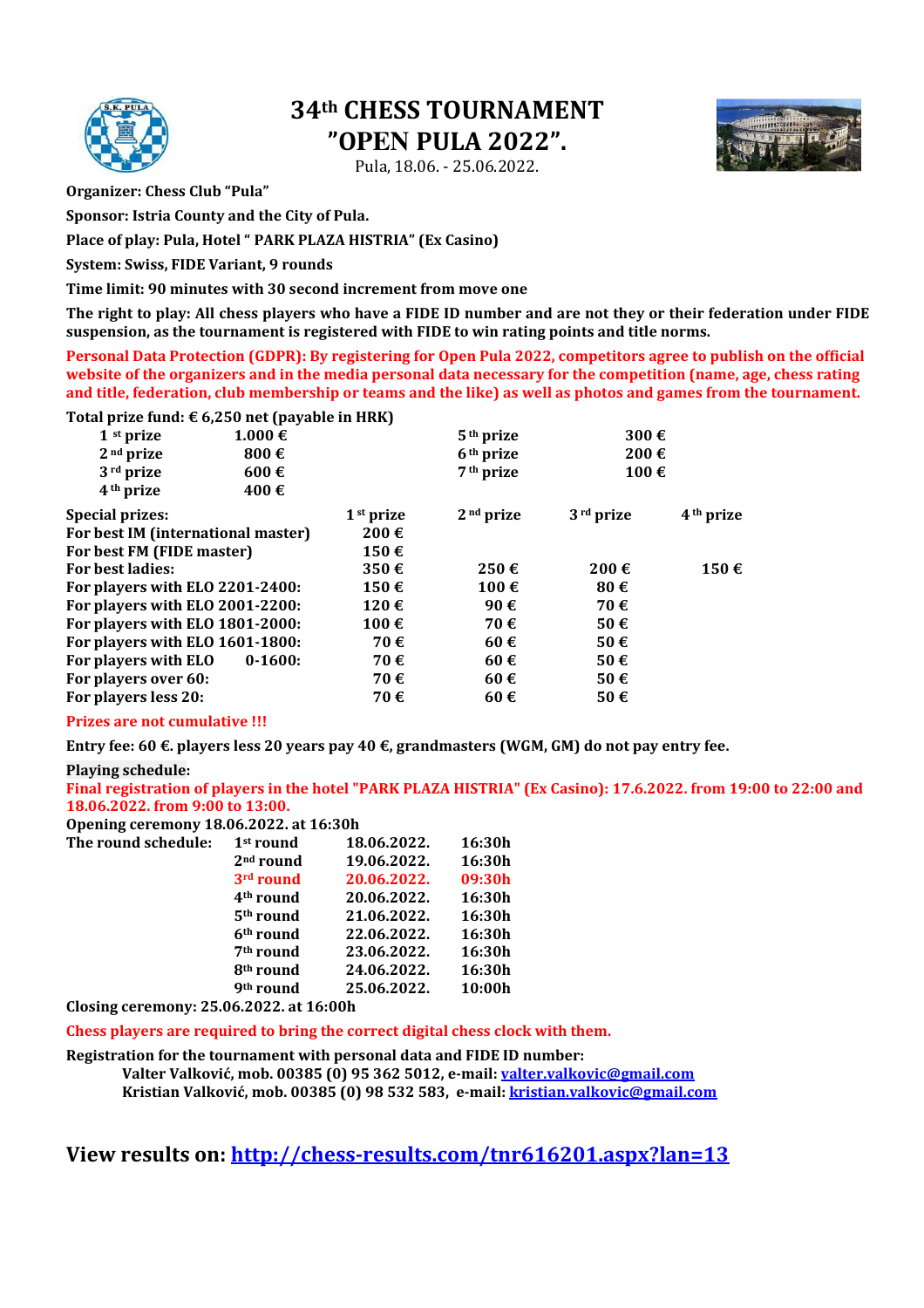

# **34th CHESS TOURNAMENT "OPEN PULA 2022".**

Pula, 18.06. - 25.06.2022.



**Organizer: Chess Club "Pula"** 

**Sponsor: Istria County and the City of Pula.** 

**Place of play: Pula, Hotel " PARK PLAZA HISTRIA" (Ex Casino)** 

**System: Swiss, FIDE Variant, 9 rounds** 

**Time limit: 90 minutes with 30 second increment from move one** 

**The right to play: All chess players who have a FIDE ID number and are not they or their federation under FIDE suspension, as the tournament is registered with FIDE to win rating points and title norms.** 

**Personal Data Protection (GDPR): By registering for Open Pula 2022, competitors agree to publish on the official website of the organizers and in the media personal data necessary for the competition (name, age, chess rating and title, federation, club membership or teams and the like) as well as photos and games from the tournament.** 

### **Total prize fund: € 6,250 net (payable in HRK)**

| 1 <sup>st</sup> prize              | $1.000 \in$        |                       | 5 <sup>th</sup> prize | 300€               |                       |
|------------------------------------|--------------------|-----------------------|-----------------------|--------------------|-----------------------|
| $2nd$ prize                        | 800 $\epsilon$     |                       | 6 <sup>th</sup> prize | $200 \text{ } \in$ |                       |
| 3 <sup>rd</sup> prize              | $600 \text{ } \in$ |                       | 7 <sup>th</sup> prize | 100€               |                       |
| 4 <sup>th</sup> prize              | 400€               |                       |                       |                    |                       |
| <b>Special prizes:</b>             |                    | 1 <sup>st</sup> prize | 2 <sup>nd</sup> prize | $3rd$ prize        | 4 <sup>th</sup> prize |
| For best IM (international master) |                    | 200€                  |                       |                    |                       |
| For best FM (FIDE master)          |                    | 150€                  |                       |                    |                       |
| <b>For best ladies:</b>            |                    | 350€                  | $250 \text{ } \in$    | 200€               | 150€                  |
| For players with ELO 2201-2400:    |                    | 150€                  | 100€                  | 80€                |                       |
| For players with ELO 2001-2200:    |                    | 120€                  | 90€                   | 70€                |                       |
| For players with ELO 1801-2000:    |                    | 100€                  | 70€                   | 50€                |                       |
| For players with ELO 1601-1800:    |                    | 70€                   | 60€                   | 50€                |                       |
| For players with ELO               | $0-1600:$          | 70€                   | 60€                   | 50€                |                       |
| For players over 60:               |                    | 70€                   | $60 \text{ } \in$     | 50€                |                       |
| For players less 20:               |                    | 70€                   | 60€                   | 50€                |                       |
|                                    |                    |                       |                       |                    |                       |

#### **Prizes are not cumulative !!!**

**Entry fee: 60 €. players less 20 years pay 40 €, grandmasters (WGM, GM) do not pay entry fee.** 

#### **Playing schedule:**

**Final registration of players in the hotel "PARK PLAZA HISTRIA" (Ex Casino): 17.6.2022. from 19:00 to 22:00 and 18.06.2022. from 9:00 to 13:00.** 

**Opening ceremony 18.06.2022. at 16:30h The round sche** 

| The round schedule: | 1 <sup>st</sup> round | 18.06.2022. | 16:30h |
|---------------------|-----------------------|-------------|--------|
|                     | $2nd$ round           | 19.06.2022. | 16:30h |
|                     | 3 <sup>rd</sup> round | 20.06.2022. | 09:30h |
|                     | 4 <sup>th</sup> round | 20.06.2022. | 16:30h |
|                     | $5th$ round           | 21.06.2022. | 16:30h |
|                     | 6 <sup>th</sup> round | 22.06.2022. | 16:30h |
|                     | 7 <sup>th</sup> round | 23.06.2022. | 16:30h |
|                     | 8 <sup>th</sup> round | 24.06.2022. | 16:30h |
|                     | 9 <sup>th</sup> round | 25.06.2022. | 10:00h |
|                     |                       |             |        |

**Closing ceremony: 25.06.2022. at 16:00h**

**Chess players are required to bring the correct digital chess clock with them.**

**Registration for the tournament with personal data and FIDE ID number:** 

**Valter Valković, mob. 00385 (0) 95 362 5012, e-mail: valter.valkovic@gmail.com Kristian Valković, mob. 00385 (0) 98 532 583, e-mail: kristian.valkovic@gmail.com**

**View results on: http://chess-results.com/tnr616201.aspx?lan=13**